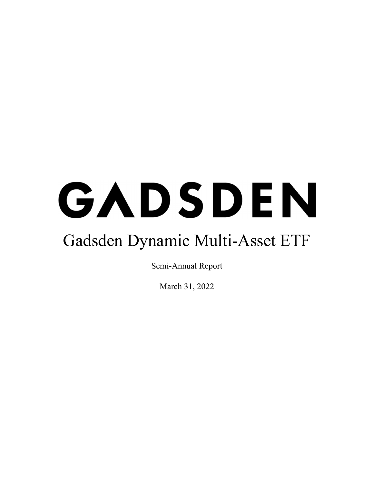# GADSDEN Gadsden Dynamic Multi-Asset ETF

Semi-Annual Report

March 31, 2022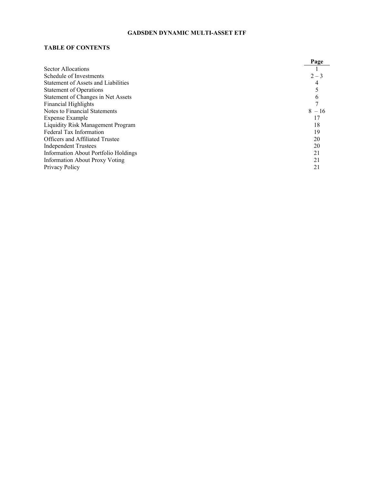# **TABLE OF CONTENTS**

|                                        | Page     |
|----------------------------------------|----------|
| Sector Allocations                     |          |
| Schedule of Investments                | $2 - 3$  |
| Statement of Assets and Liabilities    |          |
| <b>Statement of Operations</b>         |          |
| Statement of Changes in Net Assets     |          |
| <b>Financial Highlights</b>            |          |
| Notes to Financial Statements          | $8 - 16$ |
| Expense Example                        | 17       |
| Liquidity Risk Management Program      | 18       |
| Federal Tax Information                | 19       |
| <b>Officers and Affiliated Trustee</b> | 20       |
| <b>Independent Trustees</b>            | 20       |
| Information About Portfolio Holdings   | 21       |
| <b>Information About Proxy Voting</b>  | 21       |
| Privacy Policy                         | 21       |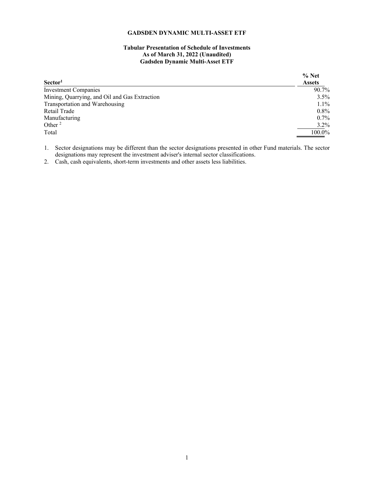# **Tabular Presentation of Schedule of Investments As of March 31, 2022 (Unaudited) Gadsden Dynamic Multi-Asset ETF**

<span id="page-2-0"></span>

|                                               | $%$ Net       |
|-----------------------------------------------|---------------|
| Sector <sup>1</sup>                           | <b>Assets</b> |
| Investment Companies                          | 90.7%         |
| Mining, Quarrying, and Oil and Gas Extraction | $3.5\%$       |
| Transportation and Warehousing                | $1.1\%$       |
| Retail Trade                                  | $0.8\%$       |
| Manufacturing                                 | $0.7\%$       |
| Other $2$                                     | $3.2\%$       |
| Total                                         | 100.0%        |

1. Sector designations may be different than the sector designations presented in other Fund materials. The sector designations may represent the investment adviser's internal sector classifications.

2. Cash, cash equivalents, short-term investments and other assets less liabilities.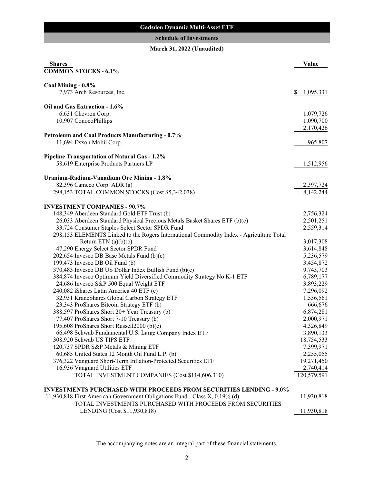# **Gadsden Dynamic Multi-Asset ETF**

# **Schedule of Investments**

# **March 31, 2022 (Unaudited)**

<span id="page-3-0"></span>

| <b>Shares</b>                                                                                   | Value                   |
|-------------------------------------------------------------------------------------------------|-------------------------|
| <b>COMMON STOCKS - 6.1%</b>                                                                     |                         |
| Coal Mining - 0.8%                                                                              |                         |
| 7,973 Arch Resources, Inc.                                                                      | \$<br>1,095,331         |
|                                                                                                 |                         |
| Oil and Gas Extraction - 1.6%                                                                   |                         |
| 6,631 Chevron Corp.                                                                             | 1,079,726               |
| 10,907 ConocoPhillips                                                                           | 1,090,700               |
|                                                                                                 | 2,170,426               |
| <b>Petroleum and Coal Products Manufacturing - 0.7%</b>                                         |                         |
| 11,694 Exxon Mobil Corp.                                                                        | 965,807                 |
| <b>Pipeline Transportation of Natural Gas - 1.2%</b>                                            |                         |
| 58,619 Enterprise Products Partners LP                                                          | 1,512,956               |
|                                                                                                 |                         |
| Uranium-Radium-Vanadium Ore Mining - 1.8%                                                       |                         |
| 82,396 Cameco Corp. ADR (a)                                                                     | 2,397,724               |
| 298,153 TOTAL COMMON STOCKS (Cost \$5,342,038)                                                  | 8,142,244               |
|                                                                                                 |                         |
| <b>INVESTMENT COMPANIES - 90.7%</b><br>148,349 Aberdeen Standard Gold ETF Trust (b)             |                         |
| 26,033 Aberdeen Standard Physical Precious Metals Basket Shares ETF (b)(c)                      | 2,756,324<br>2,501,251  |
| 33,724 Consumer Staples Select Sector SPDR Fund                                                 | 2,559,314               |
| 298,153 ELEMENTS Linked to the Rogers International Commodity Index - Agriculture Total         |                         |
| Return ETN $(a)(b)(c)$                                                                          | 3,017,308               |
| 47,290 Energy Select Sector SPDR Fund                                                           | 3,614,848               |
| 202,654 Invesco DB Base Metals Fund (b)(c)                                                      | 5,236,579               |
| 199,473 Invesco DB Oil Fund (b)                                                                 | 3,454,872               |
| 370,483 Invesco DB US Dollar Index Bullish Fund (b)(c)                                          | 9,743,703               |
| 384,874 Invesco Optimum Yield Diversified Commodity Strategy No K-1 ETF                         | 6,789,177               |
| 24,686 Invesco S&P 500 Equal Weight ETF                                                         | 3,893,229               |
| 240,082 iShares Latin America 40 ETF (c)                                                        | 7,296,092               |
| 32,931 KraneShares Global Carbon Strategy ETF                                                   | 1,536,561               |
| 23,343 ProShares Bitcoin Strategy ETF (b)                                                       | 666,676                 |
| 388,597 ProShares Short 20+ Year Treasury (b)                                                   | 6,874,281               |
| 77,407 ProShares Short 7-10 Treasury (b)                                                        | 2,000,971               |
| 195,608 ProShares Short Russell2000 (b)(c)                                                      | 4,326,849               |
| 66,498 Schwab Fundamental U.S. Large Company Index ETF                                          | 3,890,133               |
| 308,920 Schwab US TIPS ETF                                                                      | 18,754,533              |
| 120,737 SPDR S&P Metals & Mining ETF                                                            | 7,399,971               |
| 60,685 United States 12 Month Oil Fund L.P. (b)                                                 | 2,255,055<br>19,271,450 |
| 376,322 Vanguard Short-Term Inflation-Protected Securities ETF<br>16,936 Vanguard Utilities ETF | 2,740,414               |
| TOTAL INVESTMENT COMPANIES (Cost \$114,606,310)                                                 | 120,579,591             |
|                                                                                                 |                         |
| <b>INVESTMENTS PURCHASED WITH PROCEEDS FROM SECURITIES LENDING - 9.0%</b>                       |                         |
| 11,930,818 First American Government Obligations Fund - Class X, 0.19% (d)                      | 11,930,818              |
| TOTAL INVESTMENTS PURCHASED WITH PROCEEDS FROM SECURITIES                                       |                         |
| LENDING (Cost \$11,930,818)                                                                     | 11,930,818              |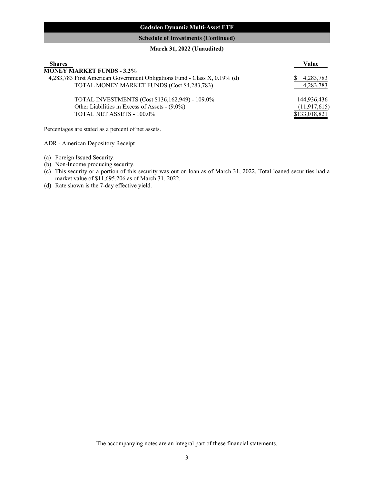# **Gadsden Dynamic Multi-Asset ETF**

# **Schedule of Investments (Continued)**

# **March 31, 2022 (Unaudited)**

| <b>Shares</b>                                                             | Value          |
|---------------------------------------------------------------------------|----------------|
| <b>MONEY MARKET FUNDS - 3.2%</b>                                          |                |
| 4,283,783 First American Government Obligations Fund - Class X, 0.19% (d) | 4,283,783      |
| TOTAL MONEY MARKET FUNDS (Cost \$4,283,783)                               | 4,283,783      |
| TOTAL INVESTMENTS (Cost \$136,162,949) - 109.0%                           | 144,936,436    |
| Other Liabilities in Excess of Assets - (9.0%)                            | (11, 917, 615) |
| TOTAL NET ASSETS - 100.0%                                                 | \$133,018,821  |

Percentages are stated as a percent of net assets.

ADR - American Depository Receipt

- (a) Foreign Issued Security.
- (b) Non-Income producing security.
- (c) This security or a portion of this security was out on loan as of March 31, 2022. Total loaned securities had a market value of \$11,695,206 as of March 31, 2022.
- (d) Rate shown is the 7-day effective yield.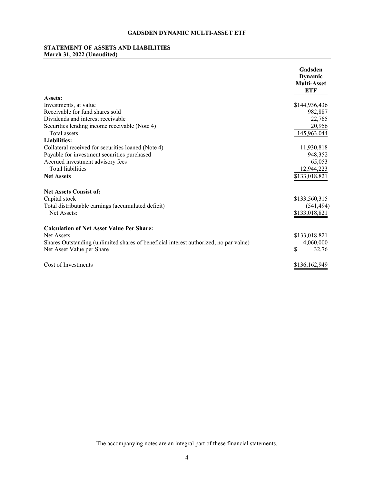# <span id="page-5-0"></span>**STATEMENT OF ASSETS AND LIABILITIES March 31, 2022 (Unaudited)**

|                                                                                       | Gadsden<br>Dynamic<br><b>Multi-Asset</b><br>ETF |
|---------------------------------------------------------------------------------------|-------------------------------------------------|
| Assets:                                                                               |                                                 |
| Investments, at value                                                                 | \$144,936,436                                   |
| Receivable for fund shares sold                                                       | 982,887                                         |
| Dividends and interest receivable                                                     | 22,765                                          |
| Securities lending income receivable (Note 4)                                         | 20,956                                          |
| Total assets                                                                          | 145,963,044                                     |
| <b>Liabilities:</b>                                                                   |                                                 |
| Collateral received for securities loaned (Note 4)                                    | 11,930,818                                      |
| Payable for investment securities purchased                                           | 948,352                                         |
| Accrued investment advisory fees                                                      | 65,053                                          |
| <b>Total liabilities</b>                                                              | 12,944,223                                      |
| <b>Net Assets</b>                                                                     | \$133,018,821                                   |
| <b>Net Assets Consist of:</b>                                                         |                                                 |
| Capital stock                                                                         | \$133,560,315                                   |
| Total distributable earnings (accumulated deficit)                                    | (541, 494)                                      |
| Net Assets:                                                                           | \$133,018,821                                   |
| <b>Calculation of Net Asset Value Per Share:</b>                                      |                                                 |
| Net Assets                                                                            | \$133,018,821                                   |
| Shares Outstanding (unlimited shares of beneficial interest authorized, no par value) | 4,060,000                                       |
| Net Asset Value per Share                                                             | 32.76                                           |
| Cost of Investments                                                                   | \$136,162,949                                   |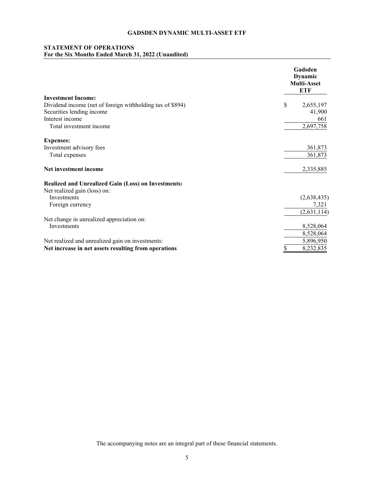# <span id="page-6-0"></span>**STATEMENT OF OPERATIONS For the Six Months Ended March 31, 2022 (Unaudited)**

|                                                            | Gadsden<br><b>Dynamic</b><br><b>Multi-Asset</b><br><b>ETF</b> |
|------------------------------------------------------------|---------------------------------------------------------------|
| <b>Investment Income:</b>                                  |                                                               |
| Dividend income (net of foreign withholding tax of \$894)  | \$<br>2,655,197                                               |
| Securities lending income                                  | 41,900                                                        |
| Interest income                                            | 661                                                           |
| Total investment income                                    | 2,697,758                                                     |
| <b>Expenses:</b>                                           |                                                               |
| Investment advisory fees                                   | 361,873                                                       |
| Total expenses                                             | 361,873                                                       |
| Net investment income                                      | 2,335,885                                                     |
| <b>Realized and Unrealized Gain (Loss) on Investments:</b> |                                                               |
| Net realized gain (loss) on:                               |                                                               |
| <b>Investments</b>                                         | (2,638,435)                                                   |
| Foreign currency                                           | 7,321                                                         |
|                                                            | (2,631,114)                                                   |
| Net change in unrealized appreciation on:                  |                                                               |
| Investments                                                | 8,528,064                                                     |
|                                                            | 8,528,064                                                     |
| Net realized and unrealized gain on investments:           | 5,896,950                                                     |
| Net increase in net assets resulting from operations       | 8,232,835<br>\$                                               |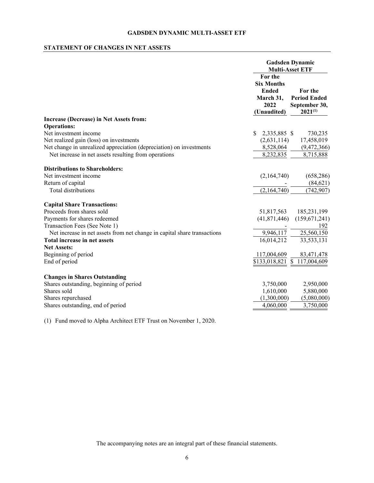# <span id="page-7-0"></span>**STATEMENT OF CHANGES IN NET ASSETS**

|                                                                          | <b>Gadsden Dynamic</b><br><b>Multi-Asset ETF</b>                                 |                                                                 |  |
|--------------------------------------------------------------------------|----------------------------------------------------------------------------------|-----------------------------------------------------------------|--|
|                                                                          | For the<br><b>Six Months</b><br><b>Ended</b><br>March 31,<br>2022<br>(Unaudited) | For the<br><b>Period Ended</b><br>September 30,<br>$2021^{(1)}$ |  |
| Increase (Decrease) in Net Assets from:                                  |                                                                                  |                                                                 |  |
| <b>Operations:</b>                                                       |                                                                                  |                                                                 |  |
| Net investment income                                                    | \$<br>2,335,885 \$                                                               | 730,235                                                         |  |
| Net realized gain (loss) on investments                                  | (2,631,114)                                                                      | 17,458,019                                                      |  |
| Net change in unrealized appreciation (depreciation) on investments      | 8,528,064                                                                        | (9,472,366)                                                     |  |
| Net increase in net assets resulting from operations                     | 8,232,835                                                                        | 8,715,888                                                       |  |
| <b>Distributions to Shareholders:</b>                                    |                                                                                  |                                                                 |  |
| Net investment income                                                    | (2,164,740)                                                                      | (658, 286)                                                      |  |
| Return of capital                                                        |                                                                                  | (84, 621)                                                       |  |
| Total distributions                                                      | (2,164,740)                                                                      | (742, 907)                                                      |  |
| <b>Capital Share Transactions:</b>                                       |                                                                                  |                                                                 |  |
| Proceeds from shares sold                                                | 51,817,563                                                                       | 185,231,199                                                     |  |
| Payments for shares redeemed                                             | (41,871,446)                                                                     | (159, 671, 241)                                                 |  |
| Transaction Fees (See Note 1)                                            |                                                                                  | 192                                                             |  |
| Net increase in net assets from net change in capital share transactions | 9,946,117                                                                        | 25,560,150                                                      |  |
| Total increase in net assets                                             | 16,014,212                                                                       | 33,533,131                                                      |  |
| <b>Net Assets:</b>                                                       |                                                                                  |                                                                 |  |
| Beginning of period                                                      | 117,004,609                                                                      | 83,471,478                                                      |  |
| End of period                                                            | \$133,018,821                                                                    | \$<br>117,004,609                                               |  |
| <b>Changes in Shares Outstanding</b>                                     |                                                                                  |                                                                 |  |
| Shares outstanding, beginning of period                                  | 3,750,000                                                                        | 2,950,000                                                       |  |
| Shares sold                                                              | 1,610,000                                                                        | 5,880,000                                                       |  |
| Shares repurchased                                                       | (1,300,000)                                                                      | (5,080,000)                                                     |  |
| Shares outstanding, end of period                                        | 4,060,000                                                                        | 3,750,000                                                       |  |
|                                                                          |                                                                                  |                                                                 |  |

(1) Fund moved to Alpha Architect ETF Trust on November 1, 2020.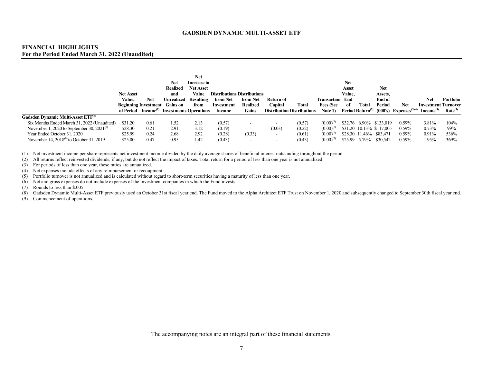#### **FINANCIAL HIGHLIGHTS For the Period Ended March 31, 2022 (Unaudited)**

|                                                |                  |      |                                                        | <b>Net</b>       |                                    |                          |                          |                                   |                        |            |                              |                          |                                                          |                            |                     |
|------------------------------------------------|------------------|------|--------------------------------------------------------|------------------|------------------------------------|--------------------------|--------------------------|-----------------------------------|------------------------|------------|------------------------------|--------------------------|----------------------------------------------------------|----------------------------|---------------------|
|                                                |                  |      | <b>Net</b>                                             | Increase in      |                                    |                          |                          |                                   |                        | <b>Net</b> |                              |                          |                                                          |                            |                     |
|                                                |                  |      | <b>Realized</b>                                        | <b>Net Asset</b> |                                    |                          |                          |                                   |                        | Asset      |                              | <b>Net</b>               |                                                          |                            |                     |
|                                                | <b>Net Asset</b> |      | and                                                    | Value            | <b>Distributions Distributions</b> |                          |                          |                                   |                        | Value.     |                              | Assets,                  |                                                          |                            |                     |
|                                                | Value,           | Net  | Jnrealized                                             | Resulting        | from Net                           | from Net                 | Return of                |                                   | <b>Transaction End</b> |            |                              | End of                   |                                                          | <b>Net</b>                 | Portfolio           |
|                                                |                  |      | <b>Beginning Investment</b> Gains on                   | from             | Investment                         | <b>Realized</b>          | Capital                  | <b>Total</b>                      | <b>Fees (See</b>       | -of        | Total                        | Period                   | Net                                                      | <b>Investment Turnover</b> |                     |
|                                                |                  |      | of Period Income <sup>(1)</sup> Investments Operations |                  | Income                             | Gains                    |                          | <b>Distribution Distributions</b> | Note $1$               |            | Period Return <sup>(2)</sup> |                          | (000's) Expenses <sup>(3)(4)</sup> Income <sup>(3)</sup> |                            | Rate <sup>(5)</sup> |
| Gadsden Dynamic Multi-Asset ETF <sup>(6)</sup> |                  |      |                                                        |                  |                                    |                          |                          |                                   |                        |            |                              |                          |                                                          |                            |                     |
| Six Months Ended March 31, 2022 (Unaudited)    | \$31.20          | 0.61 | 1.52                                                   | 2.13             | (0.57)                             |                          | $\sim$                   | (0.57)                            | $(0.00)^{0}$           |            |                              | \$32.76 6.90% \$133,019  | $0.59\%$                                                 | 3.81%                      | 104%                |
| November 1, 2020 to September 30, $2021^{(8)}$ | \$28.30          | 0.21 | 2.91                                                   | 3.12             | (0.19)                             |                          | (0.03)                   | (0.22)                            | $(0.00)^{7}$           |            |                              | \$31.20 10.13% \$117,005 | $0.59\%$                                                 | 0.73%                      | 99%                 |
| Year Ended October 31, 2020                    | \$25.99          | 0.24 | 2.68                                                   | 2.92             | (0.28)                             | (0.33)                   | $\overline{\phantom{a}}$ | (0.61)                            | $(0.00)^{0}$           |            |                              | \$28.30 11.46% \$83,471  | $0.59\%$                                                 | $0.91\%$                   | 536%                |
| November 14, $2018^{(9)}$ to October 31, 2019  | \$25.00          | 0.47 | 0.95                                                   | 1.42             | (0.43)                             | $\overline{\phantom{a}}$ | $\overline{\phantom{0}}$ | (0.43)                            | $(0.00)^{7}$           |            | \$25.99 5.79%                | \$30,542                 | $0.59\%$                                                 | .95%                       | 369%                |

(1) Net investment income per share represents net investment income divided by the daily average shares of beneficial interest outstanding throughout the period.

<span id="page-8-0"></span>(2) All returns reflect reinvested dividends, if any, but do not reflect the impact of taxes. Total return for a period of less than one year is not annualized.

(3) For periods of less than one year, these ratios are annualized.

(4) Net expenses include effects of any reimbursement or recoupment.

(5) Portfolio turnover is not annualized and is calculated without regard to short-term securities having a maturity of less than one year.

(6) Net and gross expenses do not include expenses of the investment companies in which the Fund invests.

(7) Rounds to less than \$.005.

(8) Gadsden Dynamic Multi-Asset ETF previously used an October 31st fiscal year end. The Fund moved to the Alpha Architect ETF Trust on November 1, 2020 and subsequently changed to September 30th fiscal year end.

(9) Commencement of operations.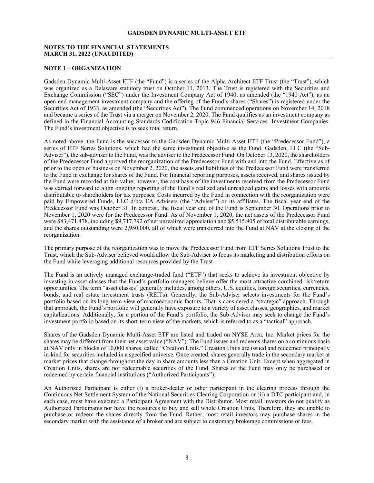#### <span id="page-9-0"></span>**NOTES TO THE FINANCIAL STATEMENTS MARCH 31, 2022 (UNAUDITED)**

#### **NOTE 1 – ORGANIZATION**

Gadsden Dynamic Multi-Asset ETF (the "Fund") is a series of the Alpha Architect ETF Trust (the "Trust"), which was organized as a Delaware statutory trust on October 11, 2013. The Trust is registered with the Securities and Exchange Commission ("SEC") under the Investment Company Act of 1940, as amended (the "1940 Act"), as an open-end management investment company and the offering of the Fund's shares ("Shares") is registered under the Securities Act of 1933, as amended (the "Securities Act"). The Fund commenced operations on November 14, 2018 and became a series of the Trust via a merger on November 2, 2020. The Fund qualifies as an investment company as defined in the Financial Accounting Standards Codification Topic 946-Financial Services- Investment Companies. The Fund's investment objective is to seek total return.

As noted above, the Fund is the successor to the Gadsden Dynamic Multi-Asset ETF (the "Predecessor Fund"), a series of ETF Series Solutions, which had the same investment objective as the Fund. Gadsden, LLC (the "Sub-Adviser"), the sub-adviser to the Fund, was the adviser to the Predecessor Fund. On October 13, 2020, the shareholders of the Predecessor Fund approved the reorganization of the Predecessor Fund with and into the Fund. Effective as of prior to the open of business on November 2, 2020, the assets and liabilities of the Predecessor Fund were transferred to the Fund in exchange for shares of the Fund. For financial reporting purposes, assets received, and shares issued by the Fund were recorded at fair value; however, the cost basis of the investments received from the Predecessor Fund was carried forward to align ongoing reporting of the Fund's realized and unrealized gains and losses with amounts distributable to shareholders for tax purposes. Costs incurred by the Fund in connection with the reorganization were paid by Empowered Funds, LLC d/b/a EA Advisers (the "Adviser") or its affiliates. The fiscal year end of the Predecessor Fund was October 31. In contrast, the fiscal year end of the Fund is September 30. Operations prior to November 1, 2020 were for the Predecessor Fund. As of November 1, 2020, the net assets of the Predecessor Fund were \$83,471,478, including \$9,717,792 of net unrealized appreciation and \$5,515,905 of total distributable earnings, and the shares outstanding were 2,950,000, all of which were transferred into the Fund at NAV at the closing of the reorganization.

The primary purpose of the reorganization was to move the Predecessor Fund from ETF Series Solutions Trust to the Trust, which the Sub-Adviser believed would allow the Sub-Adviser to focus its marketing and distribution efforts on the Fund while leveraging additional resources provided by the Trust

The Fund is an actively managed exchange-traded fund ("ETF") that seeks to achieve its investment objective by investing in asset classes that the Fund's portfolio managers believe offer the most attractive combined risk/return opportunities. The term "asset classes" generally includes, among others, U.S. equities, foreign securities, currencies, bonds, and real estate investment trusts (REITs). Generally, the Sub-Adviser selects investments for the Fund's portfolio based on its long-term view of macroeconomic factors. That is considered a "strategic" approach. Through that approach, the Fund's portfolio will generally have exposure to a variety of asset classes, geographies, and market capitalizations. Additionally, for a portion of the Fund's portfolio, the Sub-Adviser may seek to change the Fund's investment portfolio based on its short-term view of the markets, which is referred to as a "tactical" approach.

Shares of the Gadsden Dynamic Multi-Asset ETF are listed and traded on NYSE Arca, Inc. Market prices for the shares may be different from their net asset value ("NAV"). The Fund issues and redeems shares on a continuous basis at NAV only in blocks of 10,000 shares, called "Creation Units." Creation Units are issued and redeemed principally in-kind for securities included in a specified universe. Once created, shares generally trade in the secondary market at market prices that change throughout the day in share amounts less than a Creation Unit. Except when aggregated in Creation Units, shares are not redeemable securities of the Fund. Shares of the Fund may only be purchased or redeemed by certain financial institutions ("Authorized Participants").

An Authorized Participant is either (i) a broker-dealer or other participant in the clearing process through the Continuous Net Settlement System of the National Securities Clearing Corporation or (ii) a DTC participant and, in each case, must have executed a Participant Agreement with the Distributor. Most retail investors do not qualify as Authorized Participants nor have the resources to buy and sell whole Creation Units. Therefore, they are unable to purchase or redeem the shares directly from the Fund. Rather, most retail investors may purchase shares in the secondary market with the assistance of a broker and are subject to customary brokerage commissions or fees.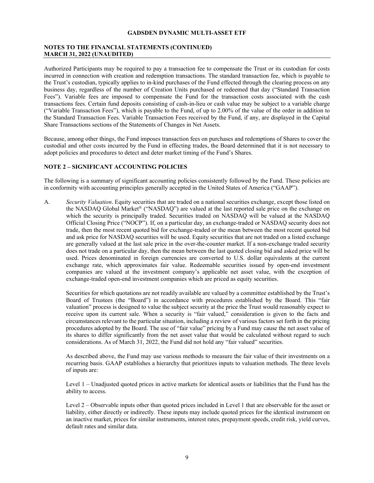## **NOTES TO THE FINANCIAL STATEMENTS (CONTINUED) MARCH 31, 2022 (UNAUDITED)**

Authorized Participants may be required to pay a transaction fee to compensate the Trust or its custodian for costs incurred in connection with creation and redemption transactions. The standard transaction fee, which is payable to the Trust's custodian, typically applies to in-kind purchases of the Fund effected through the clearing process on any business day, regardless of the number of Creation Units purchased or redeemed that day ("Standard Transaction Fees"). Variable fees are imposed to compensate the Fund for the transaction costs associated with the cash transactions fees. Certain fund deposits consisting of cash-in-lieu or cash value may be subject to a variable charge ("Variable Transaction Fees"), which is payable to the Fund, of up to 2.00% of the value of the order in addition to the Standard Transaction Fees. Variable Transaction Fees received by the Fund, if any, are displayed in the Capital Share Transactions sections of the Statements of Changes in Net Assets.

Because, among other things, the Fund imposes transaction fees on purchases and redemptions of Shares to cover the custodial and other costs incurred by the Fund in effecting trades, the Board determined that it is not necessary to adopt policies and procedures to detect and deter market timing of the Fund's Shares.

## **NOTE 2 – SIGNIFICANT ACCOUNTING POLICIES**

The following is a summary of significant accounting policies consistently followed by the Fund. These policies are in conformity with accounting principles generally accepted in the United States of America ("GAAP").

A. *Security Valuation*. Equity securities that are traded on a national securities exchange, except those listed on the NASDAQ Global Market® ("NASDAQ") are valued at the last reported sale price on the exchange on which the security is principally traded. Securities traded on NASDAQ will be valued at the NASDAQ Official Closing Price ("NOCP"). If, on a particular day, an exchange-traded or NASDAQ security does not trade, then the most recent quoted bid for exchange-traded or the mean between the most recent quoted bid and ask price for NASDAQ securities will be used. Equity securities that are not traded on a listed exchange are generally valued at the last sale price in the over-the-counter market. If a non-exchange traded security does not trade on a particular day, then the mean between the last quoted closing bid and asked price will be used. Prices denominated in foreign currencies are converted to U.S. dollar equivalents at the current exchange rate, which approximates fair value. Redeemable securities issued by open-end investment companies are valued at the investment company's applicable net asset value, with the exception of exchange-traded open-end investment companies which are priced as equity securities.

Securities for which quotations are not readily available are valued by a committee established by the Trust's Board of Trustees (the "Board") in accordance with procedures established by the Board. This "fair valuation" process is designed to value the subject security at the price the Trust would reasonably expect to receive upon its current sale. When a security is "fair valued," consideration is given to the facts and circumstances relevant to the particular situation, including a review of various factors set forth in the pricing procedures adopted by the Board. The use of "fair value" pricing by a Fund may cause the net asset value of its shares to differ significantly from the net asset value that would be calculated without regard to such considerations. As of March 31, 2022, the Fund did not hold any "fair valued" securities.

As described above, the Fund may use various methods to measure the fair value of their investments on a recurring basis. GAAP establishes a hierarchy that prioritizes inputs to valuation methods. The three levels of inputs are:

Level 1 – Unadjusted quoted prices in active markets for identical assets or liabilities that the Fund has the ability to access.

Level 2 – Observable inputs other than quoted prices included in Level 1 that are observable for the asset or liability, either directly or indirectly. These inputs may include quoted prices for the identical instrument on an inactive market, prices for similar instruments, interest rates, prepayment speeds, credit risk, yield curves, default rates and similar data.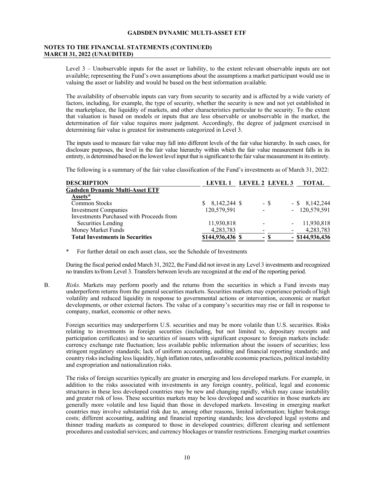#### **NOTES TO THE FINANCIAL STATEMENTS (CONTINUED) MARCH 31, 2022 (UNAUDITED)**

Level 3 – Unobservable inputs for the asset or liability, to the extent relevant observable inputs are not available; representing the Fund's own assumptions about the assumptions a market participant would use in valuing the asset or liability and would be based on the best information available.

The availability of observable inputs can vary from security to security and is affected by a wide variety of factors, including, for example, the type of security, whether the security is new and not yet established in the marketplace, the liquidity of markets, and other characteristics particular to the security. To the extent that valuation is based on models or inputs that are less observable or unobservable in the market, the determination of fair value requires more judgment. Accordingly, the degree of judgment exercised in determining fair value is greatest for instruments categorized in Level 3.

The inputs used to measure fair value may fall into different levels of the fair value hierarchy. In such cases, for disclosure purposes, the level in the fair value hierarchy within which the fair value measurement falls in its entirety, is determined based on the lowest level input that is significant to the fair value measurement in its entirety.

The following is a summary of the fair value classification of the Fund's investments as of March 31, 2022:

| <b>DESCRIPTION</b>                       | LEVEL 1           | LEVEL 2 LEVEL 3 | TOTAL             |
|------------------------------------------|-------------------|-----------------|-------------------|
| <b>Gadsden Dynamic Multi-Asset ETF</b>   |                   |                 |                   |
| <b>Assets*</b>                           |                   |                 |                   |
| <b>Common Stocks</b>                     | $\$ 8,142,244 \$$ | - \$            | $-$ \$ 8,142,244  |
| Investment Companies                     | 120,579,591       |                 | $-120,579,591$    |
| Investments Purchased with Proceeds from |                   |                 |                   |
| Securities Lending                       | 11,930,818        |                 | 11,930,818        |
| Money Market Funds                       | 4,283,783         |                 | 4,283,783         |
| <b>Total Investments in Securities</b>   | \$144,936,436 \$  | - 8             | $-$ \$144,936,436 |

\* For further detail on each asset class, see the Schedule of Investments

During the fiscal period ended March 31, 2022, the Fund did not invest in any Level 3 investments and recognized no transfers to/from Level 3. Transfers between levels are recognized at the end of the reporting period.

B. *Risks.* Markets may perform poorly and the returns from the securities in which a Fund invests may underperform returns from the general securities markets. Securities markets may experience periods of high volatility and reduced liquidity in response to governmental actions or intervention, economic or market developments, or other external factors. The value of a company's securities may rise or fall in response to company, market, economic or other news.

Foreign securities may underperform U.S. securities and may be more volatile than U.S. securities. Risks relating to investments in foreign securities (including, but not limited to, depositary receipts and participation certificates) and to securities of issuers with significant exposure to foreign markets include: currency exchange rate fluctuation; less available public information about the issuers of securities; less stringent regulatory standards; lack of uniform accounting, auditing and financial reporting standards; and country risks including less liquidity, high inflation rates, unfavorable economic practices, political instability and expropriation and nationalization risks.

The risks of foreign securities typically are greater in emerging and less developed markets. For example, in addition to the risks associated with investments in any foreign country, political, legal and economic structures in these less developed countries may be new and changing rapidly, which may cause instability and greater risk of loss. These securities markets may be less developed and securities in those markets are generally more volatile and less liquid than those in developed markets. Investing in emerging market countries may involve substantial risk due to, among other reasons, limited information; higher brokerage costs; different accounting, auditing and financial reporting standards; less developed legal systems and thinner trading markets as compared to those in developed countries; different clearing and settlement procedures and custodial services; and currency blockages or transfer restrictions. Emerging market countries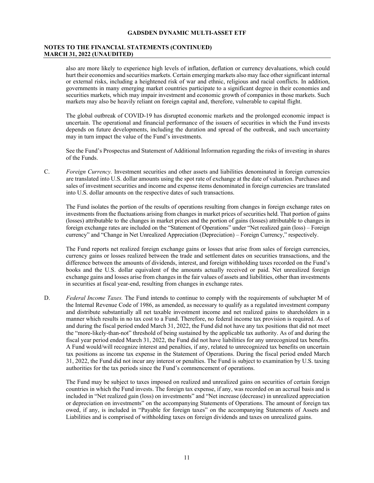#### **NOTES TO THE FINANCIAL STATEMENTS (CONTINUED) MARCH 31, 2022 (UNAUDITED)**

also are more likely to experience high levels of inflation, deflation or currency devaluations, which could hurt their economies and securities markets. Certain emerging markets also may face other significant internal or external risks, including a heightened risk of war and ethnic, religious and racial conflicts. In addition, governments in many emerging market countries participate to a significant degree in their economies and securities markets, which may impair investment and economic growth of companies in those markets. Such markets may also be heavily reliant on foreign capital and, therefore, vulnerable to capital flight.

The global outbreak of COVID-19 has disrupted economic markets and the prolonged economic impact is uncertain. The operational and financial performance of the issuers of securities in which the Fund invests depends on future developments, including the duration and spread of the outbreak, and such uncertainty may in turn impact the value of the Fund's investments.

See the Fund's Prospectus and Statement of Additional Information regarding the risks of investing in shares of the Funds.

C. *Foreign Currency.* Investment securities and other assets and liabilities denominated in foreign currencies are translated into U.S. dollar amounts using the spot rate of exchange at the date of valuation. Purchases and sales of investment securities and income and expense items denominated in foreign currencies are translated into U.S. dollar amounts on the respective dates of such transactions.

The Fund isolates the portion of the results of operations resulting from changes in foreign exchange rates on investments from the fluctuations arising from changes in market prices of securities held. That portion of gains (losses) attributable to the changes in market prices and the portion of gains (losses) attributable to changes in foreign exchange rates are included on the "Statement of Operations" under "Net realized gain (loss) – Foreign currency" and "Change in Net Unrealized Appreciation (Depreciation) – Foreign Currency," respectively.

The Fund reports net realized foreign exchange gains or losses that arise from sales of foreign currencies, currency gains or losses realized between the trade and settlement dates on securities transactions, and the difference between the amounts of dividends, interest, and foreign withholding taxes recorded on the Fund's books and the U.S. dollar equivalent of the amounts actually received or paid. Net unrealized foreign exchange gains and losses arise from changes in the fair values of assets and liabilities, other than investments in securities at fiscal year-end, resulting from changes in exchange rates.

D. *Federal Income Taxes.* The Fund intends to continue to comply with the requirements of subchapter M of the Internal Revenue Code of 1986, as amended, as necessary to qualify as a regulated investment company and distribute substantially all net taxable investment income and net realized gains to shareholders in a manner which results in no tax cost to a Fund. Therefore, no federal income tax provision is required. As of and during the fiscal period ended March 31, 2022, the Fund did not have any tax positions that did not meet the "more-likely-than-not" threshold of being sustained by the applicable tax authority. As of and during the fiscal year period ended March 31, 2022, the Fund did not have liabilities for any unrecognized tax benefits. A Fund would/will recognize interest and penalties, if any, related to unrecognized tax benefits on uncertain tax positions as income tax expense in the Statement of Operations. During the fiscal period ended March 31, 2022, the Fund did not incur any interest or penalties. The Fund is subject to examination by U.S. taxing authorities for the tax periods since the Fund's commencement of operations.

The Fund may be subject to taxes imposed on realized and unrealized gains on securities of certain foreign countries in which the Fund invests. The foreign tax expense, if any, was recorded on an accrual basis and is included in "Net realized gain (loss) on investments" and "Net increase (decrease) in unrealized appreciation or depreciation on investments" on the accompanying Statements of Operations. The amount of foreign tax owed, if any, is included in "Payable for foreign taxes" on the accompanying Statements of Assets and Liabilities and is comprised of withholding taxes on foreign dividends and taxes on unrealized gains.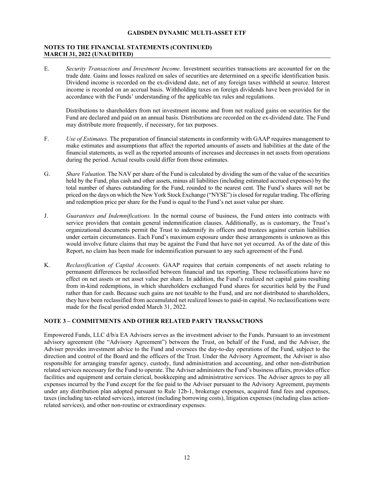# **NOTES TO THE FINANCIAL STATEMENTS (CONTINUED) MARCH 31, 2022 (UNAUDITED)**

E. *Security Transactions and Investment Income.* Investment securities transactions are accounted for on the trade date. Gains and losses realized on sales of securities are determined on a specific identification basis. Dividend income is recorded on the ex-dividend date, net of any foreign taxes withheld at source. Interest income is recorded on an accrual basis. Withholding taxes on foreign dividends have been provided for in accordance with the Funds' understanding of the applicable tax rules and regulations.

Distributions to shareholders from net investment income and from net realized gains on securities for the Fund are declared and paid on an annual basis. Distributions are recorded on the ex-dividend date. The Fund may distribute more frequently, if necessary, for tax purposes.

- F. *Use of Estimates.* The preparation of financial statements in conformity with GAAP requires management to make estimates and assumptions that affect the reported amounts of assets and liabilities at the date of the financial statements, as well as the reported amounts of increases and decreases in net assets from operations during the period. Actual results could differ from those estimates.
- G. *Share Valuation.* The NAV per share of the Fund is calculated by dividing the sum of the value of the securities held by the Fund, plus cash and other assets, minus all liabilities (including estimated accrued expenses) by the total number of shares outstanding for the Fund, rounded to the nearest cent. The Fund's shares will not be priced on the days on which the New York Stock Exchange ("NYSE") is closed for regular trading. The offering and redemption price per share for the Fund is equal to the Fund's net asset value per share.
- J. *Guarantees and Indemnifications.* In the normal course of business, the Fund enters into contracts with service providers that contain general indemnification clauses. Additionally, as is customary, the Trust's organizational documents permit the Trust to indemnify its officers and trustees against certain liabilities under certain circumstances. Each Fund's maximum exposure under these arrangements is unknown as this would involve future claims that may be against the Fund that have not yet occurred. As of the date of this Report, no claim has been made for indemnification pursuant to any such agreement of the Fund.
- K. *Reclassification of Capital Accounts.* GAAP requires that certain components of net assets relating to permanent differences be reclassified between financial and tax reporting. These reclassifications have no effect on net assets or net asset value per share. In addition, the Fund's realized net capital gains resulting from in-kind redemptions, in which shareholders exchanged Fund shares for securities held by the Fund rather than for cash. Because such gains are not taxable to the Fund, and are not distributed to shareholders, they have been reclassified from accumulated net realized losses to paid-in capital. No reclassifications were made for the fiscal period ended March 31, 2022.

# **NOTE 3 – COMMITMENTS AND OTHER RELATED PARTY TRANSACTIONS**

Empowered Funds, LLC d/b/a EA Advisers serves as the investment adviser to the Funds. Pursuant to an investment advisory agreement (the "Advisory Agreement") between the Trust, on behalf of the Fund, and the Adviser, the Adviser provides investment advice to the Fund and oversees the day-to-day operations of the Fund, subject to the direction and control of the Board and the officers of the Trust. Under the Advisory Agreement, the Adviser is also responsible for arranging transfer agency, custody, fund administration and accounting, and other non-distribution related services necessary for the Fund to operate. The Adviser administers the Fund's business affairs, provides office facilities and equipment and certain clerical, bookkeeping and administrative services. The Adviser agrees to pay all expenses incurred by the Fund except for the fee paid to the Adviser pursuant to the Advisory Agreement, payments under any distribution plan adopted pursuant to Rule 12b-1, brokerage expenses, acquired fund fees and expenses, taxes (including tax-related services), interest (including borrowing costs), litigation expenses (including class actionrelated services), and other non-routine or extraordinary expenses.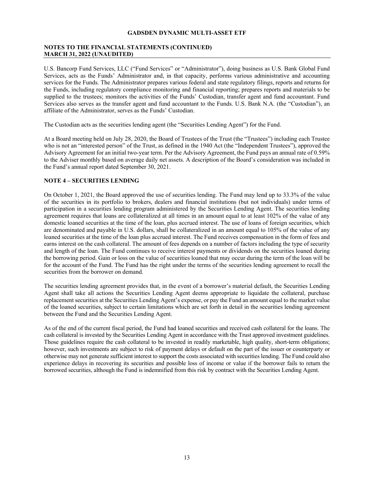# **NOTES TO THE FINANCIAL STATEMENTS (CONTINUED) MARCH 31, 2022 (UNAUDITED)**

U.S. Bancorp Fund Services, LLC ("Fund Services" or "Administrator"), doing business as U.S. Bank Global Fund Services, acts as the Funds' Administrator and, in that capacity, performs various administrative and accounting services for the Funds. The Administrator prepares various federal and state regulatory filings, reports and returns for the Funds, including regulatory compliance monitoring and financial reporting; prepares reports and materials to be supplied to the trustees; monitors the activities of the Funds' Custodian, transfer agent and fund accountant. Fund Services also serves as the transfer agent and fund accountant to the Funds. U.S. Bank N.A. (the "Custodian"), an affiliate of the Administrator, serves as the Funds' Custodian.

The Custodian acts as the securities lending agent (the "Securities Lending Agent") for the Fund.

At a Board meeting held on July 28, 2020, the Board of Trustees of the Trust (the "Trustees") including each Trustee who is not an "interested person" of the Trust, as defined in the 1940 Act (the "Independent Trustees"), approved the Advisory Agreement for an initial two-year term. Per the Advisory Agreement, the Fund pays an annual rate of 0.59% to the Adviser monthly based on average daily net assets. A description of the Board's consideration was included in the Fund's annual report dated September 30, 2021.

# **NOTE 4 – SECURITIES LENDING**

On October 1, 2021, the Board approved the use of securities lending. The Fund may lend up to 33.3% of the value of the securities in its portfolio to brokers, dealers and financial institutions (but not individuals) under terms of participation in a securities lending program administered by the Securities Lending Agent. The securities lending agreement requires that loans are collateralized at all times in an amount equal to at least 102% of the value of any domestic loaned securities at the time of the loan, plus accrued interest. The use of loans of foreign securities, which are denominated and payable in U.S. dollars, shall be collateralized in an amount equal to 105% of the value of any loaned securities at the time of the loan plus accrued interest. The Fund receives compensation in the form of fees and earns interest on the cash collateral. The amount of fees depends on a number of factors including the type of security and length of the loan. The Fund continues to receive interest payments or dividends on the securities loaned during the borrowing period. Gain or loss on the value of securities loaned that may occur during the term of the loan will be for the account of the Fund. The Fund has the right under the terms of the securities lending agreement to recall the securities from the borrower on demand.

The securities lending agreement provides that, in the event of a borrower's material default, the Securities Lending Agent shall take all actions the Securities Lending Agent deems appropriate to liquidate the collateral, purchase replacement securities at the Securities Lending Agent's expense, or pay the Fund an amount equal to the market value of the loaned securities, subject to certain limitations which are set forth in detail in the securities lending agreement between the Fund and the Securities Lending Agent.

As of the end of the current fiscal period, the Fund had loaned securities and received cash collateral for the loans. The cash collateral is invested by the Securities Lending Agent in accordance with the Trust approved investment guidelines. Those guidelines require the cash collateral to be invested in readily marketable, high quality, short-term obligations; however, such investments are subject to risk of payment delays or default on the part of the issuer or counterparty or otherwise may not generate sufficient interest to support the costs associated with securities lending. The Fund could also experience delays in recovering its securities and possible loss of income or value if the borrower fails to return the borrowed securities, although the Fund is indemnified from this risk by contract with the Securities Lending Agent.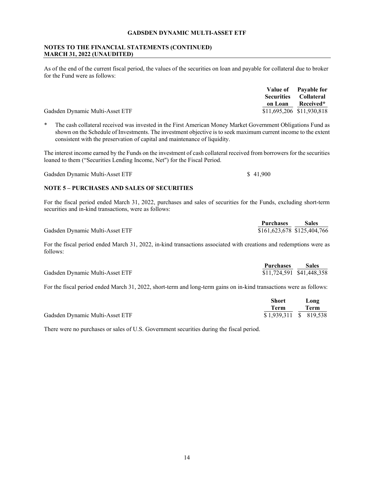# **NOTES TO THE FINANCIAL STATEMENTS (CONTINUED) MARCH 31, 2022 (UNAUDITED)**

As of the end of the current fiscal period, the values of the securities on loan and payable for collateral due to broker for the Fund were as follows:

|                                 | Value of Pavable for         |
|---------------------------------|------------------------------|
|                                 | <b>Securities Collateral</b> |
|                                 | on Loan Received*            |
| Gadsden Dynamic Multi-Asset ETF | \$11,695,206 \$11,930,818    |

\* The cash collateral received was invested in the First American Money Market Government Obligations Fund as shown on the Schedule of Investments. The investment objective is to seek maximum current income to the extent consistent with the preservation of capital and maintenance of liquidity.

The interest income earned by the Funds on the investment of cash collateral received from borrowers for the securities loaned to them ("Securities Lending Income, Net") for the Fiscal Period.

Gadsden Dynamic Multi-Asset ETF \$ 41,900

# **NOTE 5 – PURCHASES AND SALES OF SECURITIES**

For the fiscal period ended March 31, 2022, purchases and sales of securities for the Funds, excluding short-term securities and in-kind transactions, were as follows:

|                                 | <b>Purchases</b>            | <b>Sales</b> |
|---------------------------------|-----------------------------|--------------|
| Gadsden Dynamic Multi-Asset ETF | \$161,623,678 \$125,404,766 |              |

For the fiscal period ended March 31, 2022, in-kind transactions associated with creations and redemptions were as follows:

|                                 | <b>Purchases</b>          | <b>Sales</b> |
|---------------------------------|---------------------------|--------------|
| Gadsden Dynamic Multi-Asset ETF | \$11,724,591 \$41,448,358 |              |

For the fiscal period ended March 31, 2022, short-term and long-term gains on in-kind transactions were as follows:

|                                 | Short                  | Long |
|---------------------------------|------------------------|------|
|                                 | Term                   | Term |
| Gadsden Dynamic Multi-Asset ETF | \$1,939,311 \$ 819,538 |      |

There were no purchases or sales of U.S. Government securities during the fiscal period.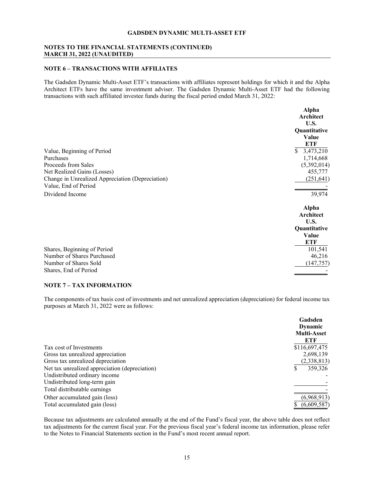# **NOTES TO THE FINANCIAL STATEMENTS (CONTINUED) MARCH 31, 2022 (UNAUDITED)**

# **NOTE 6 – TRANSACTIONS WITH AFFILIATES**

The Gadsden Dynamic Multi-Asset ETF's transactions with affiliates represent holdings for which it and the Alpha Architect ETFs have the same investment adviser. The Gadsden Dynamic Multi-Asset ETF had the following transactions with such affiliated investee funds during the fiscal period ended March 31, 2022:

|                                                                                                                                                                           | Alpha<br>Architect<br>U.S.                                                       |
|---------------------------------------------------------------------------------------------------------------------------------------------------------------------------|----------------------------------------------------------------------------------|
|                                                                                                                                                                           | Quantitative<br>Value<br><b>ETF</b>                                              |
| Value, Beginning of Period<br>Purchases<br>Proceeds from Sales<br>Net Realized Gains (Losses)<br>Change in Unrealized Appreciation (Depreciation)<br>Value, End of Period | 3,473,210<br>$\mathbb{S}^-$<br>1,714,668<br>(5,392,014)<br>455,777<br>(251, 641) |
| Dividend Income                                                                                                                                                           | 39,974                                                                           |
|                                                                                                                                                                           | <b>Alpha</b><br>Architect<br>U.S.<br>Quantitative<br>Value<br>ETF                |
| Shares, Beginning of Period<br>Number of Shares Purchased<br>Number of Shares Sold<br>Shares, End of Period                                                               | 101,541<br>46,216<br>(147, 757)                                                  |

# **NOTE 7 – TAX INFORMATION**

The components of tax basis cost of investments and net unrealized appreciation (depreciation) for federal income tax purposes at March 31, 2022 were as follows:

|                                                | Gadsden<br><b>Dynamic</b> |
|------------------------------------------------|---------------------------|
|                                                | <b>Multi-Asset</b>        |
|                                                | ETF                       |
| Tax cost of Investments                        | \$116,697,475             |
| Gross tax unrealized appreciation              | 2,698,139                 |
| Gross tax unrealized depreciation              | (2,338,813)               |
| Net tax unrealized appreciation (depreciation) | 359,326<br>S              |
| Undistributed ordinary income                  |                           |
| Undistributed long-term gain                   |                           |
| Total distributable earnings                   |                           |
| Other accumulated gain (loss)                  | (6,968,913)               |
| Total accumulated gain (loss)                  | (6,609,587)               |

Because tax adjustments are calculated annually at the end of the Fund's fiscal year, the above table does not reflect tax adjustments for the current fiscal year. For the previous fiscal year's federal income tax information, please refer to the Notes to Financial Statements section in the Fund's most recent annual report.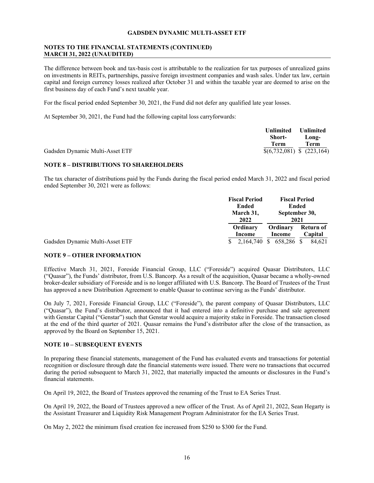# **NOTES TO THE FINANCIAL STATEMENTS (CONTINUED) MARCH 31, 2022 (UNAUDITED)**

The difference between book and tax-basis cost is attributable to the realization for tax purposes of unrealized gains on investments in REITs, partnerships, passive foreign investment companies and wash sales. Under tax law, certain capital and foreign currency losses realized after October 31 and within the taxable year are deemed to arise on the first business day of each Fund's next taxable year.

For the fiscal period ended September 30, 2021, the Fund did not defer any qualified late year losses.

At September 30, 2021, the Fund had the following capital loss carryforwards:

|                                 | Unlimited                     | Unlimited |
|---------------------------------|-------------------------------|-----------|
|                                 | Short-                        | Long-     |
|                                 | Term                          | Term      |
| Gadsden Dynamic Multi-Asset ETF | $$(6,732,081) \$ $$(223,164)$ |           |

#### **NOTE 8 – DISTRIBUTIONS TO SHAREHOLDERS**

The tax character of distributions paid by the Funds during the fiscal period ended March 31, 2022 and fiscal period ended September 30, 2021 were as follows:

|                                 | <b>Fiscal Period</b> |                                                            | <b>Fiscal Period</b> |
|---------------------------------|----------------------|------------------------------------------------------------|----------------------|
|                                 | <b>Ended</b>         | <b>Ended</b><br>March 31,<br>September 30,<br>2022<br>2021 |                      |
|                                 |                      |                                                            |                      |
|                                 |                      |                                                            |                      |
|                                 | Ordinary             | Ordinary                                                   | Return of            |
|                                 | Income               | Income                                                     | Capital              |
| Gadsden Dynamic Multi-Asset ETF | 2,164,740 \$         | 658,286 \$                                                 | 84.621               |

# **NOTE 9 – OTHER INFORMATION**

Effective March 31, 2021, Foreside Financial Group, LLC ("Foreside") acquired Quasar Distributors, LLC ("Quasar"), the Funds' distributor, from U.S. Bancorp. As a result of the acquisition, Quasar became a wholly-owned broker-dealer subsidiary of Foreside and is no longer affiliated with U.S. Bancorp. The Board of Trustees of the Trust has approved a new Distribution Agreement to enable Quasar to continue serving as the Funds' distributor.

On July 7, 2021, Foreside Financial Group, LLC ("Foreside"), the parent company of Quasar Distributors, LLC ("Quasar"), the Fund's distributor, announced that it had entered into a definitive purchase and sale agreement with Genstar Capital ("Genstar") such that Genstar would acquire a majority stake in Foreside. The transaction closed at the end of the third quarter of 2021. Quasar remains the Fund's distributor after the close of the transaction, as approved by the Board on September 15, 2021.

# **NOTE 10 – SUBSEQUENT EVENTS**

In preparing these financial statements, management of the Fund has evaluated events and transactions for potential recognition or disclosure through date the financial statements were issued. There were no transactions that occurred during the period subsequent to March 31, 2022, that materially impacted the amounts or disclosures in the Fund's financial statements.

On April 19, 2022, the Board of Trustees approved the renaming of the Trust to EA Series Trust.

On April 19, 2022, the Board of Trustees approved a new officer of the Trust. As of April 21, 2022, Sean Hegarty is the Assistant Treasurer and Liquidity Risk Management Program Administrator for the EA Series Trust.

On May 2, 2022 the minimum fixed creation fee increased from \$250 to \$300 for the Fund.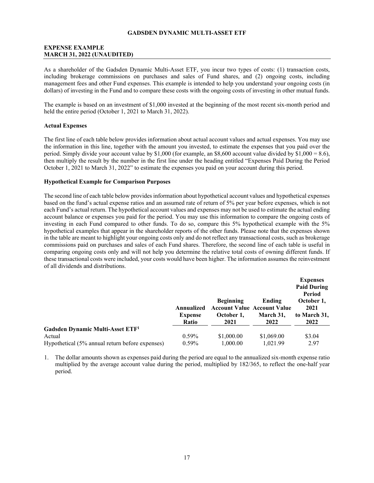# <span id="page-18-0"></span>**EXPENSE EXAMPLE MARCH 31, 2022 (UNAUDITED)**

As a shareholder of the Gadsden Dynamic Multi-Asset ETF, you incur two types of costs: (1) transaction costs, including brokerage commissions on purchases and sales of Fund shares, and (2) ongoing costs, including management fees and other Fund expenses. This example is intended to help you understand your ongoing costs (in dollars) of investing in the Fund and to compare these costs with the ongoing costs of investing in other mutual funds.

The example is based on an investment of \$1,000 invested at the beginning of the most recent six-month period and held the entire period (October 1, 2021 to March 31, 2022).

#### **Actual Expenses**

The first line of each table below provides information about actual account values and actual expenses. You may use the information in this line, together with the amount you invested, to estimate the expenses that you paid over the period. Simply divide your account value by \$1,000 (for example, an \$8,600 account value divided by  $$1,000 = 8.6$ ), then multiply the result by the number in the first line under the heading entitled "Expenses Paid During the Period October 1, 2021 to March 31, 2022" to estimate the expenses you paid on your account during this period.

#### **Hypothetical Example for Comparison Purposes**

The second line of each table below provides information about hypothetical account values and hypothetical expenses based on the fund's actual expense ratios and an assumed rate of return of 5% per year before expenses, which is not each Fund's actual return. The hypothetical account values and expenses may not be used to estimate the actual ending account balance or expenses you paid for the period. You may use this information to compare the ongoing costs of investing in each Fund compared to other funds. To do so, compare this 5% hypothetical example with the 5% hypothetical examples that appear in the shareholder reports of the other funds. Please note that the expenses shown in the table are meant to highlight your ongoing costs only and do not reflect any transactional costs, such as brokerage commissions paid on purchases and sales of each Fund shares. Therefore, the second line of each table is useful in comparing ongoing costs only and will not help you determine the relative total costs of owning different funds. If these transactional costs were included, your costs would have been higher. The information assumes the reinvestment of all dividends and distributions.

|                                                 |                |                                    |            | <b>Expenses</b><br><b>Paid During</b><br>Period |  |
|-------------------------------------------------|----------------|------------------------------------|------------|-------------------------------------------------|--|
|                                                 |                | <b>Beginning</b>                   | Ending     | October 1,                                      |  |
|                                                 | Annualized     | <b>Account Value Account Value</b> |            | 2021                                            |  |
|                                                 | <b>Expense</b> | October 1,                         | March 31,  | to March 31,                                    |  |
|                                                 | Ratio          | 2021                               | 2022       | 2022                                            |  |
| Gadsden Dynamic Multi-Asset ETF <sup>1</sup>    |                |                                    |            |                                                 |  |
| Actual                                          | $0.59\%$       | \$1,000.00                         | \$1,069.00 | \$3.04                                          |  |
| Hypothetical (5% annual return before expenses) | $0.59\%$       | 1,000.00                           | 1.021.99   | 2.97                                            |  |

1. The dollar amounts shown as expenses paid during the period are equal to the annualized six-month expense ratio multiplied by the average account value during the period, multiplied by 182/365, to reflect the one-half year period.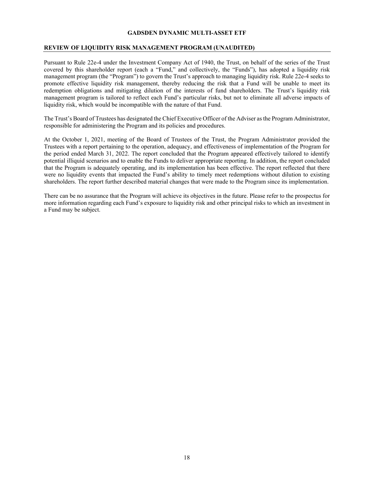# <span id="page-19-0"></span>**REVIEW OF LIQUIDITY RISK MANAGEMENT PROGRAM (UNAUDITED)**

Pursuant to Rule 22e-4 under the Investment Company Act of 1940, the Trust, on behalf of the series of the Trust covered by this shareholder report (each a "Fund," and collectively, the "Funds"), has adopted a liquidity risk management program (the "Program") to govern the Trust's approach to managing liquidity risk. Rule 22e-4 seeks to promote effective liquidity risk management, thereby reducing the risk that a Fund will be unable to meet its redemption obligations and mitigating dilution of the interests of fund shareholders. The Trust's liquidity risk management program is tailored to reflect each Fund's particular risks, but not to eliminate all adverse impacts of liquidity risk, which would be incompatible with the nature of that Fund.

The Trust's Board of Trustees has designated the Chief Executive Officer of the Adviser as the Program Administrator, responsible for administering the Program and its policies and procedures.

At the October 1, 2021, meeting of the Board of Trustees of the Trust, the Program Administrator provided the Trustees with a report pertaining to the operation, adequacy, and effectiveness of implementation of the Program for the period ended March 31, 2022. The report concluded that the Program appeared effectively tailored to identify potential illiquid scenarios and to enable the Funds to deliver appropriate reporting. In addition, the report concluded that the Program is adequately operating, and its implementation has been effective. The report reflected that there were no liquidity events that impacted the Fund's ability to timely meet redemptions without dilution to existing shareholders. The report further described material changes that were made to the Program since its implementation.

There can be no assurance that the Program will achieve its objectives in the future. Please refer to the prospectus for more information regarding each Fund's exposure to liquidity risk and other principal risks to which an investment in a Fund may be subject.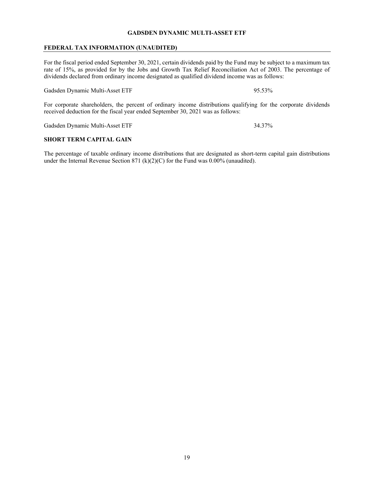# <span id="page-20-0"></span>**FEDERAL TAX INFORMATION (UNAUDITED)**

For the fiscal period ended September 30, 2021, certain dividends paid by the Fund may be subject to a maximum tax rate of 15%, as provided for by the Jobs and Growth Tax Relief Reconciliation Act of 2003. The percentage of dividends declared from ordinary income designated as qualified dividend income was as follows:

Gadsden Dynamic Multi-Asset ETF 95.53%

For corporate shareholders, the percent of ordinary income distributions qualifying for the corporate dividends received deduction for the fiscal year ended September 30, 2021 was as follows:

Gadsden Dynamic Multi-Asset ETF 34.37%

# **SHORT TERM CAPITAL GAIN**

The percentage of taxable ordinary income distributions that are designated as short-term capital gain distributions under the Internal Revenue Section 871 (k)(2)(C) for the Fund was 0.00% (unaudited).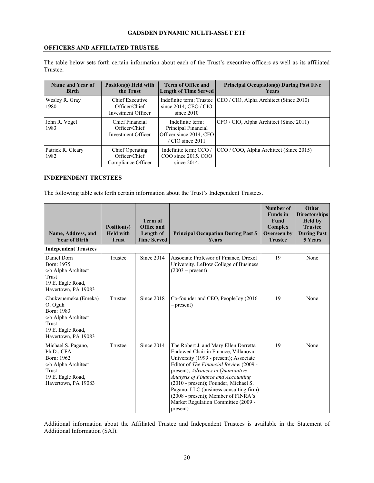# <span id="page-21-0"></span>**OFFICERS AND AFFILIATED TRUSTEE**

The table below sets forth certain information about each of the Trust's executive officers as well as its affiliated Trustee.

| Name and Year of<br><b>Birth</b> | <b>Position(s)</b> Held with<br>the Trust              | <b>Term of Office and</b><br><b>Length of Time Served</b>                                     | <b>Principal Occupation(s) During Past Five</b><br><b>Years</b> |
|----------------------------------|--------------------------------------------------------|-----------------------------------------------------------------------------------------------|-----------------------------------------------------------------|
| Wesley R. Gray<br>1980           | Chief Executive<br>Officer/Chief<br>Investment Officer | Indefinite term; Trustee<br>since $2014$ ; CEO / CIO<br>since $2010$                          | CEO / CIO, Alpha Architect (Since 2010)                         |
| John R. Vogel<br>1983            | Chief Financial<br>Officer/Chief<br>Investment Officer | Indefinite term;<br>Principal Financial<br>Officer since 2014, CFO<br>$\sqrt{CIO}$ since 2011 | CFO / CIO, Alpha Architect (Since 2011)                         |
| Patrick R. Cleary<br>1982        | Chief Operating<br>Officer/Chief<br>Compliance Officer | Indefinite term; CCO /<br>COO since 2015, COO<br>since $2014$ .                               | CCO / COO, Alpha Architect (Since 2015)                         |

# <span id="page-21-1"></span>**INDEPENDENT TRUSTEES**

The following table sets forth certain information about the Trust's Independent Trustees.

| Name, Address, and<br><b>Year of Birth</b>                                                                                 | Position(s)<br><b>Held with</b><br><b>Trust</b> | <b>Term of</b><br><b>Office and</b><br>Length of<br><b>Time Served</b> | <b>Principal Occupation During Past 5</b><br><b>Years</b>                                                                                                                                                                                                                                                                                                                                                                 | Number of<br><b>Funds</b> in<br><b>Fund</b><br>Complex<br>Overseen by<br><b>Trustee</b> | Other<br><b>Directorships</b><br><b>Held by</b><br><b>Trustee</b><br><b>During Past</b><br>5 Years |
|----------------------------------------------------------------------------------------------------------------------------|-------------------------------------------------|------------------------------------------------------------------------|---------------------------------------------------------------------------------------------------------------------------------------------------------------------------------------------------------------------------------------------------------------------------------------------------------------------------------------------------------------------------------------------------------------------------|-----------------------------------------------------------------------------------------|----------------------------------------------------------------------------------------------------|
| <b>Independent Trustees</b>                                                                                                |                                                 |                                                                        |                                                                                                                                                                                                                                                                                                                                                                                                                           |                                                                                         |                                                                                                    |
| Daniel Dorn<br>Born: 1975<br>c/o Alpha Architect<br>Trust<br>19 E. Eagle Road,<br>Havertown, PA 19083                      | Trustee                                         | Since 2014                                                             | Associate Professor of Finance, Drexel<br>University, LeBow College of Business<br>$(2003 - present)$                                                                                                                                                                                                                                                                                                                     | 19                                                                                      | None                                                                                               |
| Chukwuemeka (Emeka)<br>O. Oguh<br>Born: 1983<br>c/o Alpha Architect<br>Trust<br>19 E. Eagle Road,<br>Havertown, PA 19083   | Trustee                                         | Since 2018                                                             | Co-founder and CEO, PeopleJoy (2016)<br>– present)                                                                                                                                                                                                                                                                                                                                                                        | 19                                                                                      | None                                                                                               |
| Michael S. Pagano,<br>Ph.D., CFA<br>Born: 1962<br>c/o Alpha Architect<br>Trust<br>19 E. Eagle Road,<br>Havertown, PA 19083 | Trustee                                         | Since 2014                                                             | The Robert J. and Mary Ellen Darretta<br>Endowed Chair in Finance, Villanova<br>University (1999 - present); Associate<br>Editor of The Financial Review (2009 -<br>present); Advances in Quantitative<br>Analysis of Finance and Accounting<br>(2010 - present); Founder, Michael S.<br>Pagano, LLC (business consulting firm)<br>(2008 - present); Member of FINRA's<br>Market Regulation Committee (2009 -<br>present) | 19                                                                                      | None                                                                                               |

Additional information about the Affiliated Trustee and Independent Trustees is available in the Statement of Additional Information (SAI).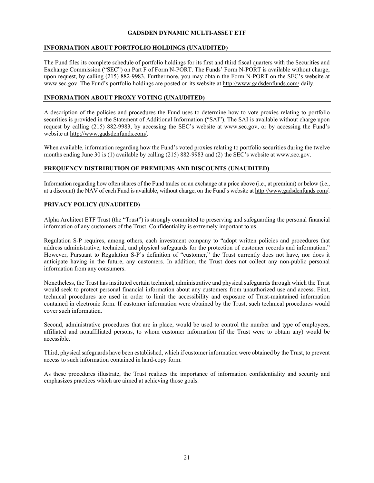# <span id="page-22-0"></span>**INFORMATION ABOUT PORTFOLIO HOLDINGS (UNAUDITED)**

The Fund files its complete schedule of portfolio holdings for its first and third fiscal quarters with the Securities and Exchange Commission ("SEC") on Part F of Form N-PORT. The Funds' Form N-PORT is available without charge, upon request, by calling (215) 882-9983. Furthermore, you may obtain the Form N-PORT on the SEC's website at www.sec.gov. The Fund's portfolio holdings are posted on its website at http://www.gadsdenfunds.com/ daily.

# <span id="page-22-1"></span>**INFORMATION ABOUT PROXY VOTING (UNAUDITED)**

A description of the policies and procedures the Fund uses to determine how to vote proxies relating to portfolio securities is provided in the Statement of Additional Information ("SAI"). The SAI is available without charge upon request by calling (215) 882-9983, by accessing the SEC's website at www.sec.gov, or by accessing the Fund's website at http://www.gadsdenfunds.com/.

When available, information regarding how the Fund's voted proxies relating to portfolio securities during the twelve months ending June 30 is (1) available by calling (215) 882-9983 and (2) the SEC's website at www.sec.gov.

# **FREQUENCY DISTRIBUTION OF PREMIUMS AND DISCOUNTS (UNAUDITED)**

Information regarding how often shares of the Fund trades on an exchange at a price above (i.e., at premium) or below (i.e., at a discount) the NAV of each Fund is available, without charge, on the Fund's website at http://www.gadsdenfunds.com/.

# <span id="page-22-2"></span>**PRIVACY POLICY (UNAUDITED)**

Alpha Architect ETF Trust (the "Trust") is strongly committed to preserving and safeguarding the personal financial information of any customers of the Trust. Confidentiality is extremely important to us.

Regulation S-P requires, among others, each investment company to "adopt written policies and procedures that address administrative, technical, and physical safeguards for the protection of customer records and information." However, Pursuant to Regulation S-P's definition of "customer," the Trust currently does not have, nor does it anticipate having in the future, any customers. In addition, the Trust does not collect any non-public personal information from any consumers.

Nonetheless, the Trust has instituted certain technical, administrative and physical safeguards through which the Trust would seek to protect personal financial information about any customers from unauthorized use and access. First, technical procedures are used in order to limit the accessibility and exposure of Trust-maintained information contained in electronic form. If customer information were obtained by the Trust, such technical procedures would cover such information.

Second, administrative procedures that are in place, would be used to control the number and type of employees, affiliated and nonaffiliated persons, to whom customer information (if the Trust were to obtain any) would be accessible.

Third, physical safeguards have been established, which if customer information were obtained by the Trust, to prevent access to such information contained in hard-copy form.

As these procedures illustrate, the Trust realizes the importance of information confidentiality and security and emphasizes practices which are aimed at achieving those goals.